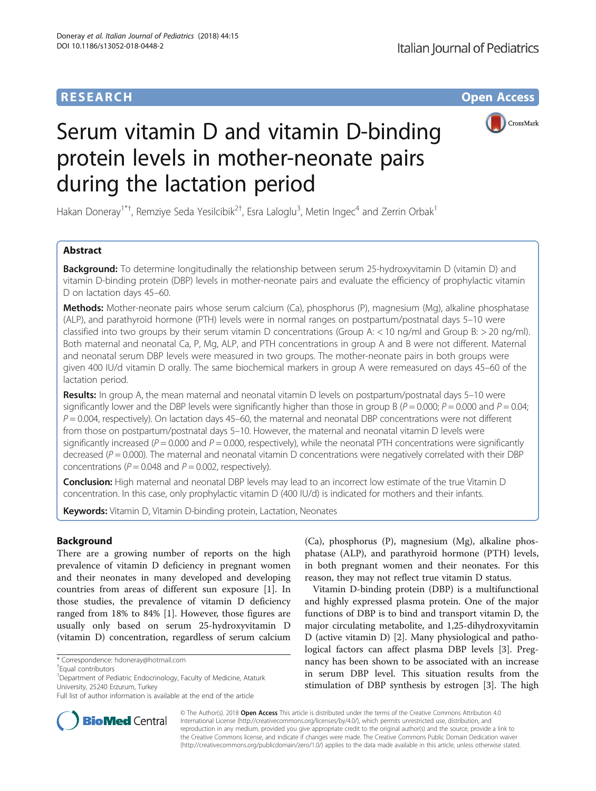# **RESEARCH CHE Open Access**



# Serum vitamin D and vitamin D-binding protein levels in mother-neonate pairs during the lactation period

Hakan Doneray<sup>1\*†</sup>, Remziye Seda Yesilcibik<sup>2†</sup>, Esra Laloglu<sup>3</sup>, Metin Ingec<sup>4</sup> and Zerrin Orbak<sup>1</sup>

# Abstract

**Background:** To determine longitudinally the relationship between serum 25-hydroxyvitamin D (vitamin D) and vitamin D-binding protein (DBP) levels in mother-neonate pairs and evaluate the efficiency of prophylactic vitamin D on lactation days 45–60.

**Methods:** Mother-neonate pairs whose serum calcium (Ca), phosphorus (P), magnesium (Mg), alkaline phosphatase (ALP), and parathyroid hormone (PTH) levels were in normal ranges on postpartum/postnatal days 5–10 were classified into two groups by their serum vitamin D concentrations (Group A: < 10 ng/ml and Group B: > 20 ng/ml). Both maternal and neonatal Ca, P, Mg, ALP, and PTH concentrations in group A and B were not different. Maternal and neonatal serum DBP levels were measured in two groups. The mother-neonate pairs in both groups were given 400 IU/d vitamin D orally. The same biochemical markers in group A were remeasured on days 45–60 of the lactation period.

Results: In group A, the mean maternal and neonatal vitamin D levels on postpartum/postnatal days 5–10 were significantly lower and the DBP levels were significantly higher than those in group B ( $P = 0.000$ ;  $P = 0.000$  and  $P = 0.04$ ;  $P = 0.004$ , respectively). On lactation days 45–60, the maternal and neonatal DBP concentrations were not different from those on postpartum/postnatal days 5–10. However, the maternal and neonatal vitamin D levels were significantly increased ( $P = 0.000$  and  $P = 0.000$ , respectively), while the neonatal PTH concentrations were significantly decreased ( $P = 0.000$ ). The maternal and neonatal vitamin D concentrations were negatively correlated with their DBP concentrations ( $P = 0.048$  and  $P = 0.002$ , respectively).

Conclusion: High maternal and neonatal DBP levels may lead to an incorrect low estimate of the true Vitamin D concentration. In this case, only prophylactic vitamin D (400 IU/d) is indicated for mothers and their infants.

Keywords: Vitamin D, Vitamin D-binding protein, Lactation, Neonates

# Background

There are a growing number of reports on the high prevalence of vitamin D deficiency in pregnant women and their neonates in many developed and developing countries from areas of different sun exposure [[1\]](#page-5-0). In those studies, the prevalence of vitamin D deficiency ranged from 18% to 84% [[1\]](#page-5-0). However, those figures are usually only based on serum 25-hydroxyvitamin D (vitamin D) concentration, regardless of serum calcium

(Ca), phosphorus (P), magnesium (Mg), alkaline phosphatase (ALP), and parathyroid hormone (PTH) levels, in both pregnant women and their neonates. For this reason, they may not reflect true vitamin D status.

Vitamin D-binding protein (DBP) is a multifunctional and highly expressed plasma protein. One of the major functions of DBP is to bind and transport vitamin D, the major circulating metabolite, and 1,25-dihydroxyvitamin D (active vitamin D) [[2\]](#page-5-0). Many physiological and pathological factors can affect plasma DBP levels [[3](#page-5-0)]. Pregnancy has been shown to be associated with an increase in serum DBP level. This situation results from the stimulation of DBP synthesis by estrogen [[3\]](#page-5-0). The high



© The Author(s). 2018 Open Access This article is distributed under the terms of the Creative Commons Attribution 4.0 International License [\(http://creativecommons.org/licenses/by/4.0/](http://creativecommons.org/licenses/by/4.0/)), which permits unrestricted use, distribution, and reproduction in any medium, provided you give appropriate credit to the original author(s) and the source, provide a link to the Creative Commons license, and indicate if changes were made. The Creative Commons Public Domain Dedication waiver [\(http://creativecommons.org/publicdomain/zero/1.0/](http://creativecommons.org/publicdomain/zero/1.0/)) applies to the data made available in this article, unless otherwise stated.

<sup>\*</sup> Correspondence: [hdoneray@hotmail.com](mailto:hdoneray@hotmail.com) †

Equal contributors

<sup>&</sup>lt;sup>1</sup>Department of Pediatric Endocrinology, Faculty of Medicine, Ataturk University, 25240 Erzurum, Turkey

Full list of author information is available at the end of the article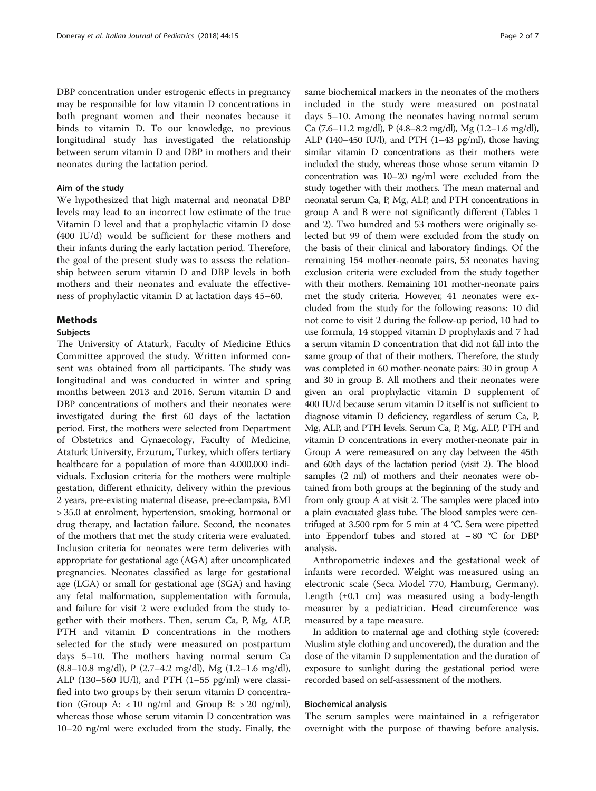DBP concentration under estrogenic effects in pregnancy may be responsible for low vitamin D concentrations in both pregnant women and their neonates because it binds to vitamin D. To our knowledge, no previous longitudinal study has investigated the relationship between serum vitamin D and DBP in mothers and their neonates during the lactation period.

## Aim of the study

We hypothesized that high maternal and neonatal DBP levels may lead to an incorrect low estimate of the true Vitamin D level and that a prophylactic vitamin D dose (400 IU/d) would be sufficient for these mothers and their infants during the early lactation period. Therefore, the goal of the present study was to assess the relationship between serum vitamin D and DBP levels in both mothers and their neonates and evaluate the effectiveness of prophylactic vitamin D at lactation days 45–60.

# Methods

## Subjects

The University of Ataturk, Faculty of Medicine Ethics Committee approved the study. Written informed consent was obtained from all participants. The study was longitudinal and was conducted in winter and spring months between 2013 and 2016. Serum vitamin D and DBP concentrations of mothers and their neonates were investigated during the first 60 days of the lactation period. First, the mothers were selected from Department of Obstetrics and Gynaecology, Faculty of Medicine, Ataturk University, Erzurum, Turkey, which offers tertiary healthcare for a population of more than 4.000.000 individuals. Exclusion criteria for the mothers were multiple gestation, different ethnicity, delivery within the previous 2 years, pre-existing maternal disease, pre-eclampsia, BMI > 35.0 at enrolment, hypertension, smoking, hormonal or drug therapy, and lactation failure. Second, the neonates of the mothers that met the study criteria were evaluated. Inclusion criteria for neonates were term deliveries with appropriate for gestational age (AGA) after uncomplicated pregnancies. Neonates classified as large for gestational age (LGA) or small for gestational age (SGA) and having any fetal malformation, supplementation with formula, and failure for visit 2 were excluded from the study together with their mothers. Then, serum Ca, P, Mg, ALP, PTH and vitamin D concentrations in the mothers selected for the study were measured on postpartum days 5–10. The mothers having normal serum Ca (8.8–10.8 mg/dl), P (2.7–4.2 mg/dl), Mg (1.2–1.6 mg/dl), ALP (130–560 IU/l), and PTH (1–55 pg/ml) were classified into two groups by their serum vitamin D concentration (Group A:  $\langle 10 \text{ ng/ml} \rangle$  and Group B:  $> 20 \text{ ng/ml}$ ), whereas those whose serum vitamin D concentration was 10–20 ng/ml were excluded from the study. Finally, the

same biochemical markers in the neonates of the mothers included in the study were measured on postnatal days 5–10. Among the neonates having normal serum Ca (7.6–11.2 mg/dl), P (4.8–8.2 mg/dl), Mg (1.2–1.6 mg/dl), ALP (140–450 IU/l), and PTH (1–43 pg/ml), those having similar vitamin D concentrations as their mothers were included the study, whereas those whose serum vitamin D concentration was 10–20 ng/ml were excluded from the study together with their mothers. The mean maternal and neonatal serum Ca, P, Mg, ALP, and PTH concentrations in group A and B were not significantly different (Tables [1](#page-2-0) and [2\)](#page-2-0). Two hundred and 53 mothers were originally selected but 99 of them were excluded from the study on the basis of their clinical and laboratory findings. Of the remaining 154 mother-neonate pairs, 53 neonates having exclusion criteria were excluded from the study together with their mothers. Remaining 101 mother-neonate pairs met the study criteria. However, 41 neonates were excluded from the study for the following reasons: 10 did not come to visit 2 during the follow-up period, 10 had to use formula, 14 stopped vitamin D prophylaxis and 7 had a serum vitamin D concentration that did not fall into the same group of that of their mothers. Therefore, the study was completed in 60 mother-neonate pairs: 30 in group A and 30 in group B. All mothers and their neonates were given an oral prophylactic vitamin D supplement of 400 IU/d because serum vitamin D itself is not sufficient to diagnose vitamin D deficiency, regardless of serum Ca, P, Mg, ALP, and PTH levels. Serum Ca, P, Mg, ALP, PTH and vitamin D concentrations in every mother-neonate pair in Group A were remeasured on any day between the 45th and 60th days of the lactation period (visit 2). The blood samples (2 ml) of mothers and their neonates were obtained from both groups at the beginning of the study and from only group A at visit 2. The samples were placed into a plain evacuated glass tube. The blood samples were centrifuged at 3.500 rpm for 5 min at 4 °C. Sera were pipetted into Eppendorf tubes and stored at − 80 °C for DBP analysis.

Anthropometric indexes and the gestational week of infants were recorded. Weight was measured using an electronic scale (Seca Model 770, Hamburg, Germany). Length  $(\pm 0.1 \text{ cm})$  was measured using a body-length measurer by a pediatrician. Head circumference was measured by a tape measure.

In addition to maternal age and clothing style (covered: Muslim style clothing and uncovered), the duration and the dose of the vitamin D supplementation and the duration of exposure to sunlight during the gestational period were recorded based on self-assessment of the mothers.

# Biochemical analysis

The serum samples were maintained in a refrigerator overnight with the purpose of thawing before analysis.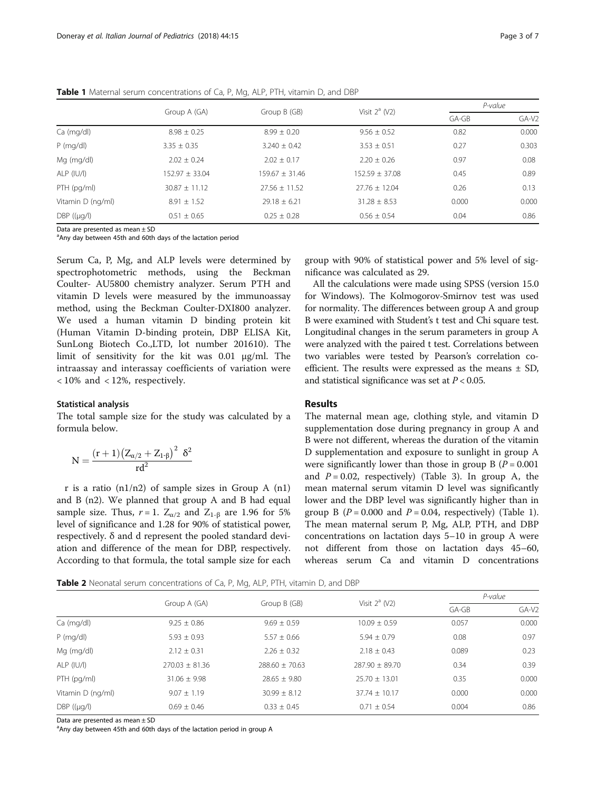|                         | Group A (GA)      | Group B (GB)      | Visit $2^a$ (V2) | P-value |         |
|-------------------------|-------------------|-------------------|------------------|---------|---------|
|                         |                   |                   |                  | GA-GB   | $GA-V2$ |
| Ca (mg/dl)              | $8.98 \pm 0.25$   | $8.99 + 0.20$     | $9.56 \pm 0.52$  | 0.82    | 0.000   |
| $P$ (mg/dl)             | $3.35 \pm 0.35$   | $3.240 \pm 0.42$  | $3.53 \pm 0.51$  | 0.27    | 0.303   |
| Mg (mg/dl)              | $2.02 \pm 0.24$   | $2.02 + 0.17$     | $2.20 + 0.26$    | 0.97    | 0.08    |
| $ALP$ ( $ U/I\rangle$ ) | $152.97 + 33.04$  | $159.67 + 31.46$  | $152.59 + 37.08$ | 0.45    | 0.89    |
| $PTH$ (pg/ml)           | $30.87 \pm 11.12$ | $27.56 \pm 11.52$ | $27.76 + 12.04$  | 0.26    | 0.13    |
| Vitamin D (ng/ml)       | $8.91 \pm 1.52$   | $29.18 \pm 6.21$  | $31.28 \pm 8.53$ | 0.000   | 0.000   |
| $DBP((\mu q/I))$        | $0.51 \pm 0.65$   | $0.25 \pm 0.28$   | $0.56 \pm 0.54$  | 0.04    | 0.86    |

<span id="page-2-0"></span>Table 1 Maternal serum concentrations of Ca, P, Mg, ALP, PTH, vitamin D, and DBP

Data are presented as mean ± SD

<sup>a</sup> Any day between 45th and 60th days of the lactation period

Serum Ca, P, Mg, and ALP levels were determined by spectrophotometric methods, using the Beckman Coulter- AU5800 chemistry analyzer. Serum PTH and vitamin D levels were measured by the immunoassay method, using the Beckman Coulter-DXI800 analyzer. We used a human vitamin D binding protein kit (Human Vitamin D-binding protein, DBP ELISA Kit, SunLong Biotech Co.,LTD, lot number 201610). The limit of sensitivity for the kit was 0.01 μg/ml. The intraassay and interassay coefficients of variation were < 10% and < 12%, respectively.

#### Statistical analysis

The total sample size for the study was calculated by a formula below.

$$
N=\frac{(r+1)\big(Z_{\alpha/2}+Z_{1\text{-}\beta}\big)^2\ \delta^2}{rd^2}
$$

r is a ratio  $(n1/n2)$  of sample sizes in Group A  $(n1)$ and B (n2). We planned that group A and B had equal sample size. Thus,  $r = 1$ .  $Z_{\alpha/2}$  and  $Z_{1-\beta}$  are 1.96 for 5% level of significance and 1.28 for 90% of statistical power, respectively. δ and d represent the pooled standard deviation and difference of the mean for DBP, respectively. According to that formula, the total sample size for each

group with 90% of statistical power and 5% level of significance was calculated as 29.

All the calculations were made using SPSS (version 15.0 for Windows). The Kolmogorov-Smirnov test was used for normality. The differences between group A and group B were examined with Student's t test and Chi square test. Longitudinal changes in the serum parameters in group A were analyzed with the paired t test. Correlations between two variables were tested by Pearson's correlation coefficient. The results were expressed as the means  $\pm$  SD, and statistical significance was set at  $P < 0.05$ .

## Results

The maternal mean age, clothing style, and vitamin D supplementation dose during pregnancy in group A and B were not different, whereas the duration of the vitamin D supplementation and exposure to sunlight in group A were significantly lower than those in group B ( $P = 0.001$ ) and  $P = 0.02$ , respectively) (Table [3\)](#page-3-0). In group A, the mean maternal serum vitamin D level was significantly lower and the DBP level was significantly higher than in group B ( $P = 0.000$  and  $P = 0.04$ , respectively) (Table 1). The mean maternal serum P, Mg, ALP, PTH, and DBP concentrations on lactation days 5–10 in group A were not different from those on lactation days 45–60, whereas serum Ca and vitamin D concentrations

Table 2 Neonatal serum concentrations of Ca, P, Mg, ALP, PTH, vitamin D, and DBP

|                      | Group A (GA)     | Group B (GB)     | Visit $2^a$ (V2) | P-value |         |
|----------------------|------------------|------------------|------------------|---------|---------|
|                      |                  |                  |                  | GA-GB   | $GA-V2$ |
| Ca (mg/dl)           | $9.25 + 0.86$    | $9.69 + 0.59$    | $10.09 + 0.59$   | 0.057   | 0.000   |
| $P$ (mg/dl)          | $5.93 \pm 0.93$  | $5.57 \pm 0.66$  | $5.94 \pm 0.79$  | 0.08    | 0.97    |
| Mg (mg/dl)           | $2.12 \pm 0.31$  | $2.26 \pm 0.32$  | $2.18 \pm 0.43$  | 0.089   | 0.23    |
| $ALP$ ( $ U/I$ )     | $270.03 + 81.36$ | $788.60 + 70.63$ | $787.90 + 89.70$ | 0.34    | 0.39    |
| $PTH$ (pg/ml)        | $31.06 \pm 9.98$ | $28.65 \pm 9.80$ | $25.70 + 13.01$  | 0.35    | 0.000   |
| Vitamin D (ng/ml)    | $9.07 \pm 1.19$  | $30.99 \pm 8.12$ | $37.74 + 10.17$  | 0.000   | 0.000   |
| $DBP$ (( $\mu q/l$ ) | $0.69 \pm 0.46$  | $0.33 \pm 0.45$  | $0.71 \pm 0.54$  | 0.004   | 0.86    |

Data are presented as mean ± SD

<sup>a</sup>Any day between 45th and 60th days of the lactation period in group A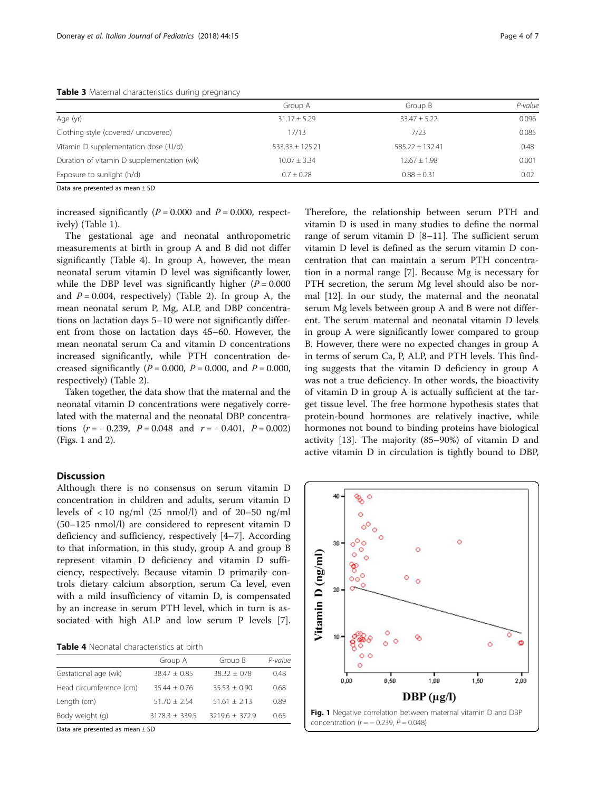|                                            | Group A             | Group B             | P-value |
|--------------------------------------------|---------------------|---------------------|---------|
| Age (yr)                                   | $31.17 \pm 5.29$    | $33.47 \pm 5.22$    | 0.096   |
| Clothing style (covered/ uncovered)        | 17/13               | 7/23                | 0.085   |
| Vitamin D supplementation dose (IU/d)      | $533.33 \pm 125.21$ | $585.22 \pm 132.41$ | 0.48    |
| Duration of vitamin D supplementation (wk) | $10.07 \pm 3.34$    | $12.67 \pm 1.98$    | 0.001   |
| Exposure to sunlight (h/d)                 | $0.7 + 0.28$        | $0.88 + 0.31$       | 0.02    |
| Data are presented as mean $\pm$ SD        |                     |                     |         |

<span id="page-3-0"></span>Table 3 Maternal characteristics during pregnancy

increased significantly ( $P = 0.000$  and  $P = 0.000$ , respectively) (Table [1](#page-2-0)).

The gestational age and neonatal anthropometric measurements at birth in group A and B did not differ significantly (Table 4). In group A, however, the mean neonatal serum vitamin D level was significantly lower, while the DBP level was significantly higher  $(P = 0.000$ and  $P = 0.004$ , respectively) (Table [2\)](#page-2-0). In group A, the mean neonatal serum P, Mg, ALP, and DBP concentrations on lactation days 5–10 were not significantly different from those on lactation days 45–60. However, the mean neonatal serum Ca and vitamin D concentrations increased significantly, while PTH concentration decreased significantly ( $P = 0.000$ ,  $P = 0.000$ , and  $P = 0.000$ , respectively) (Table [2\)](#page-2-0).

Taken together, the data show that the maternal and the neonatal vitamin D concentrations were negatively correlated with the maternal and the neonatal DBP concentrations  $(r = -0.239, P = 0.048$  and  $r = -0.401, P = 0.002)$ (Figs. 1 and [2](#page-4-0)).

# **Discussion**

Although there is no consensus on serum vitamin D concentration in children and adults, serum vitamin D levels of  $\langle 10 \text{ ng/ml} (25 \text{ nmol/l})$  and of 20–50 ng/ml (50–125 nmol/l) are considered to represent vitamin D deficiency and sufficiency, respectively [\[4](#page-5-0)–[7](#page-5-0)]. According to that information, in this study, group A and group B represent vitamin D deficiency and vitamin D sufficiency, respectively. Because vitamin D primarily controls dietary calcium absorption, serum Ca level, even with a mild insufficiency of vitamin D, is compensated by an increase in serum PTH level, which in turn is associated with high ALP and low serum P levels [\[7](#page-5-0)].

| <b>Table 4</b> Neonatal characteristics at birth |
|--------------------------------------------------|
|--------------------------------------------------|

|                         | Group A          | Group B          | P-value |
|-------------------------|------------------|------------------|---------|
| Gestational age (wk)    | $38.47 + 0.85$   | $38.32 + 078$    | 0.48    |
| Head circumference (cm) | $35.44 + 0.76$   | $35.53 + 0.90$   | 0.68    |
| Length (cm)             | $51.70 + 2.54$   | $51.61 \pm 2.13$ | 0.89    |
| Body weight (g)         | $3178.3 + 339.5$ | $3219.6 + 372.9$ | 0.65    |

Data are presented as mean ± SD

Therefore, the relationship between serum PTH and vitamin D is used in many studies to define the normal range of serum vitamin D [[8](#page-5-0)–[11](#page-5-0)]. The sufficient serum vitamin D level is defined as the serum vitamin D concentration that can maintain a serum PTH concentration in a normal range [[7\]](#page-5-0). Because Mg is necessary for PTH secretion, the serum Mg level should also be normal [[12](#page-5-0)]. In our study, the maternal and the neonatal serum Mg levels between group A and B were not different. The serum maternal and neonatal vitamin D levels in group A were significantly lower compared to group B. However, there were no expected changes in group A in terms of serum Ca, P, ALP, and PTH levels. This finding suggests that the vitamin D deficiency in group A was not a true deficiency. In other words, the bioactivity of vitamin D in group A is actually sufficient at the target tissue level. The free hormone hypothesis states that protein-bound hormones are relatively inactive, while hormones not bound to binding proteins have biological activity [[13](#page-5-0)]. The majority (85–90%) of vitamin D and active vitamin D in circulation is tightly bound to DBP,

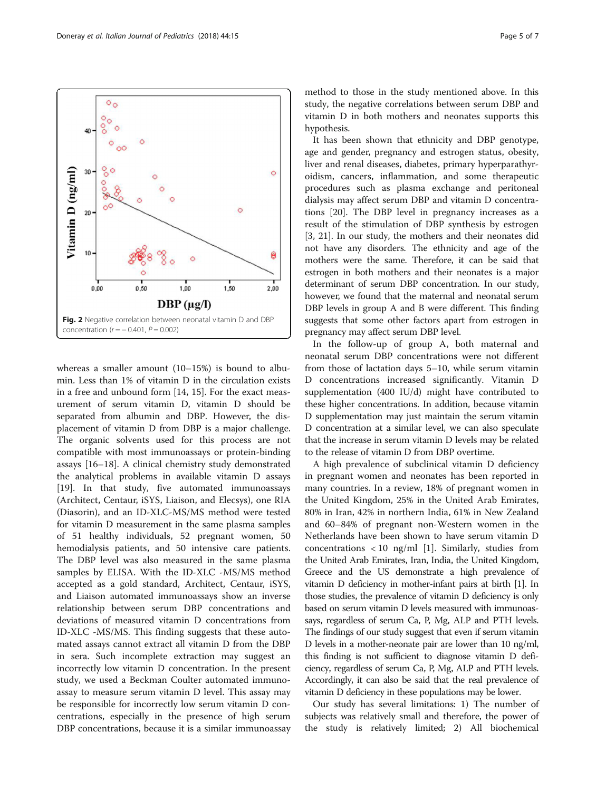<span id="page-4-0"></span>

whereas a smaller amount (10–15%) is bound to albumin. Less than 1% of vitamin D in the circulation exists in a free and unbound form [[14](#page-5-0), [15](#page-5-0)]. For the exact measurement of serum vitamin D, vitamin D should be separated from albumin and DBP. However, the displacement of vitamin D from DBP is a major challenge. The organic solvents used for this process are not compatible with most immunoassays or protein-binding assays [\[16](#page-5-0)–[18\]](#page-5-0). A clinical chemistry study demonstrated the analytical problems in available vitamin D assays [[19\]](#page-5-0). In that study, five automated immunoassays (Architect, Centaur, iSYS, Liaison, and Elecsys), one RIA (Diasorin), and an ID-XLC-MS/MS method were tested for vitamin D measurement in the same plasma samples of 51 healthy individuals, 52 pregnant women, 50 hemodialysis patients, and 50 intensive care patients. The DBP level was also measured in the same plasma samples by ELISA. With the ID-XLC -MS/MS method accepted as a gold standard, Architect, Centaur, iSYS, and Liaison automated immunoassays show an inverse relationship between serum DBP concentrations and deviations of measured vitamin D concentrations from ID-XLC -MS/MS. This finding suggests that these automated assays cannot extract all vitamin D from the DBP in sera. Such incomplete extraction may suggest an incorrectly low vitamin D concentration. In the present study, we used a Beckman Coulter automated immunoassay to measure serum vitamin D level. This assay may be responsible for incorrectly low serum vitamin D concentrations, especially in the presence of high serum DBP concentrations, because it is a similar immunoassay

method to those in the study mentioned above. In this study, the negative correlations between serum DBP and vitamin D in both mothers and neonates supports this hypothesis.

It has been shown that ethnicity and DBP genotype, age and gender, pregnancy and estrogen status, obesity, liver and renal diseases, diabetes, primary hyperparathyroidism, cancers, inflammation, and some therapeutic procedures such as plasma exchange and peritoneal dialysis may affect serum DBP and vitamin D concentrations [[20](#page-6-0)]. The DBP level in pregnancy increases as a result of the stimulation of DBP synthesis by estrogen [[3,](#page-5-0) [21\]](#page-6-0). In our study, the mothers and their neonates did not have any disorders. The ethnicity and age of the mothers were the same. Therefore, it can be said that estrogen in both mothers and their neonates is a major determinant of serum DBP concentration. In our study, however, we found that the maternal and neonatal serum DBP levels in group A and B were different. This finding suggests that some other factors apart from estrogen in pregnancy may affect serum DBP level.

In the follow-up of group A, both maternal and neonatal serum DBP concentrations were not different from those of lactation days 5–10, while serum vitamin D concentrations increased significantly. Vitamin D supplementation (400 IU/d) might have contributed to these higher concentrations. In addition, because vitamin D supplementation may just maintain the serum vitamin D concentration at a similar level, we can also speculate that the increase in serum vitamin D levels may be related to the release of vitamin D from DBP overtime.

A high prevalence of subclinical vitamin D deficiency in pregnant women and neonates has been reported in many countries. In a review, 18% of pregnant women in the United Kingdom, 25% in the United Arab Emirates, 80% in Iran, 42% in northern India, 61% in New Zealand and 60–84% of pregnant non-Western women in the Netherlands have been shown to have serum vitamin D concentrations  $\langle 10 \rangle$  ng/ml [\[1\]](#page-5-0). Similarly, studies from the United Arab Emirates, Iran, India, the United Kingdom, Greece and the US demonstrate a high prevalence of vitamin D deficiency in mother-infant pairs at birth [\[1\]](#page-5-0). In those studies, the prevalence of vitamin D deficiency is only based on serum vitamin D levels measured with immunoassays, regardless of serum Ca, P, Mg, ALP and PTH levels. The findings of our study suggest that even if serum vitamin D levels in a mother-neonate pair are lower than 10 ng/ml, this finding is not sufficient to diagnose vitamin D deficiency, regardless of serum Ca, P, Mg, ALP and PTH levels. Accordingly, it can also be said that the real prevalence of vitamin D deficiency in these populations may be lower.

Our study has several limitations: 1) The number of subjects was relatively small and therefore, the power of the study is relatively limited; 2) All biochemical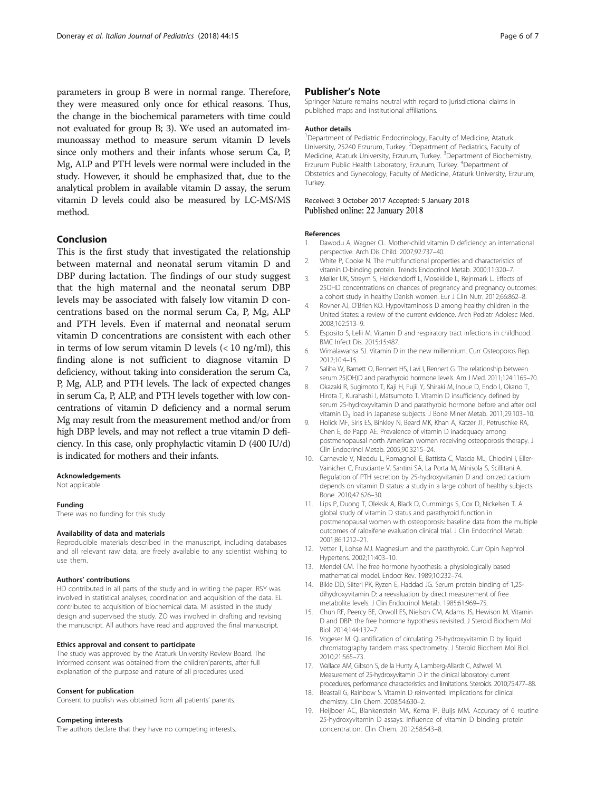<span id="page-5-0"></span>parameters in group B were in normal range. Therefore, they were measured only once for ethical reasons. Thus, the change in the biochemical parameters with time could not evaluated for group B; 3). We used an automated immunoassay method to measure serum vitamin D levels since only mothers and their infants whose serum Ca, P, Mg, ALP and PTH levels were normal were included in the study. However, it should be emphasized that, due to the analytical problem in available vitamin D assay, the serum vitamin D levels could also be measured by LC-MS/MS method.

# Conclusion

This is the first study that investigated the relationship between maternal and neonatal serum vitamin D and DBP during lactation. The findings of our study suggest that the high maternal and the neonatal serum DBP levels may be associated with falsely low vitamin D concentrations based on the normal serum Ca, P, Mg, ALP and PTH levels. Even if maternal and neonatal serum vitamin D concentrations are consistent with each other in terms of low serum vitamin D levels  $\left($  < 10 ng/ml), this finding alone is not sufficient to diagnose vitamin D deficiency, without taking into consideration the serum Ca, P, Mg, ALP, and PTH levels. The lack of expected changes in serum Ca, P, ALP, and PTH levels together with low concentrations of vitamin D deficiency and a normal serum Mg may result from the measurement method and/or from high DBP levels, and may not reflect a true vitamin D deficiency. In this case, only prophylactic vitamin D (400 IU/d) is indicated for mothers and their infants.

#### Acknowledgements

Not applicable

#### Funding

There was no funding for this study.

#### Availability of data and materials

Reproducible materials described in the manuscript, including databases and all relevant raw data, are freely available to any scientist wishing to use them.

#### Authors' contributions

HD contributed in all parts of the study and in writing the paper. RSY was involved in statistical analyses, coordination and acquisition of the data. EL contributed to acquisition of biochemical data. MI assisted in the study design and supervised the study. ZO was involved in drafting and revising the manuscript. All authors have read and approved the final manuscript.

#### Ethics approval and consent to participate

The study was approved by the Ataturk University Review Board. The informed consent was obtained from the children'parents, after full explanation of the purpose and nature of all procedures used.

#### Consent for publication

Consent to publish was obtained from all patients' parents.

## Competing interests

The authors declare that they have no competing interests.

## Publisher's Note

Springer Nature remains neutral with regard to jurisdictional claims in published maps and institutional affiliations.

#### Author details

<sup>1</sup>Department of Pediatric Endocrinology, Faculty of Medicine, Ataturk University, 25240 Erzurum, Turkey. <sup>2</sup>Department of Pediatrics, Faculty of Medicine, Ataturk University, Erzurum, Turkey. <sup>3</sup>Department of Biochemistry, Erzurum Public Health Laboratory, Erzurum, Turkey. <sup>4</sup>Department of Obstetrics and Gynecology, Faculty of Medicine, Ataturk University, Erzurum, Turkey.

## Received: 3 October 2017 Accepted: 5 January 2018 Published online: 22 January 2018

#### References

- 1. Dawodu A, Wagner CL. Mother-child vitamin D deficiency: an international perspective. Arch Dis Child. 2007;92:737–40.
- 2. White P, Cooke N. The multifunctional properties and characteristics of vitamin D-binding protein. Trends Endocrinol Metab. 2000;11:320–7.
- 3. Møller UK, Streym S, Heickendorff L, Mosekilde L, Rejnmark L. Effects of 25OHD concentrations on chances of pregnancy and pregnancy outcomes: a cohort study in healthy Danish women. Eur J Clin Nutr. 2012;66:862–8.
- 4. Rovner AJ, O'Brien KO. Hypovitaminosis D among healthy children in the United States: a review of the current evidence. Arch Pediatr Adolesc Med. 2008;162:513–9.
- 5. Esposito S, Lelii M. Vitamin D and respiratory tract infections in childhood. BMC Infect Dis. 2015;15:487.
- 6. Wimalawansa SJ. Vitamin D in the new millennium. Curr Osteoporos Rep. 2012;10:4–15.
- 7. Saliba W, Barnett O, Rennert HS, Lavi I, Rennert G. The relationship between serum 25(OH)D and parathyroid hormone levels. Am J Med. 2011;124:1165–70.
- 8. Okazaki R, Sugimoto T, Kaji H, Fujii Y, Shiraki M, Inoue D, Endo I, Okano T, Hirota T, Kurahashi I, Matsumoto T. Vitamin D insufficiency defined by serum 25-hydroxyvitamin D and parathyroid hormone before and after oral vitamin D<sub>3</sub> load in Japanese subjects. J Bone Miner Metab. 2011;29:103-10.
- 9. Holick MF, Siris ES, Binkley N, Beard MK, Khan A, Katzer JT, Petruschke RA, Chen E, de Papp AE. Prevalence of vitamin D inadequacy among postmenopausal north American women receiving osteoporosis therapy. J Clin Endocrinol Metab. 2005;90:3215–24.
- 10. Carnevale V, Nieddu L, Romagnoli E, Battista C, Mascia ML, Chiodini I, Eller-Vainicher C, Frusciante V, Santini SA, La Porta M, Minisola S, Scillitani A. Regulation of PTH secretion by 25-hydroxyvitamin D and ionized calcium depends on vitamin D status: a study in a large cohort of healthy subjects. Bone. 2010;47:626–30.
- 11. Lips P, Duong T, Oleksik A, Black D, Cummings S, Cox D, Nickelsen T. A global study of vitamin D status and parathyroid function in postmenopausal women with osteoporosis: baseline data from the multiple outcomes of raloxifene evaluation clinical trial. J Clin Endocrinol Metab. 2001;86:1212–21.
- 12. Vetter T, Lohse MJ. Magnesium and the parathyroid. Curr Opin Nephrol Hypertens. 2002;11:403–10.
- 13. Mendel CM. The free hormone hypothesis: a physiologically based mathematical model. Endocr Rev. 1989;10:232–74.
- 14. Bikle DD, Siiteri PK, Ryzen E, Haddad JG. Serum protein binding of 1,25 dihydroxyvitamin D: a reevaluation by direct measurement of free metabolite levels. J Clin Endocrinol Metab. 1985;61:969–75.
- 15. Chun RF, Peercy BE, Orwoll ES, Nielson CM, Adams JS, Hewison M. Vitamin D and DBP: the free hormone hypothesis revisited. J Steroid Biochem Mol Biol. 2014;144:132–7.
- 16. Vogeser M. Quantification of circulating 25-hydroxyvitamin D by liquid chromatography tandem mass spectrometry. J Steroid Biochem Mol Biol. 2010;21:565–73.
- 17. Wallace AM, Gibson S, de la Hunty A, Lamberg-Allardt C, Ashwell M. Measurement of 25-hydroxyvitamin D in the clinical laboratory: current procedures, performance characteristics and limitations. Steroids. 2010;75:477–88.
- 18. Beastall G, Rainbow S. Vitamin D reinvented: implications for clinical chemistry. Clin Chem. 2008;54:630–2.
- 19. Heijboer AC, Blankenstein MA, Kema IP, Buijs MM. Accuracy of 6 routine 25-hydroxyvitamin D assays: influence of vitamin D binding protein concentration. Clin Chem. 2012;58:543–8.